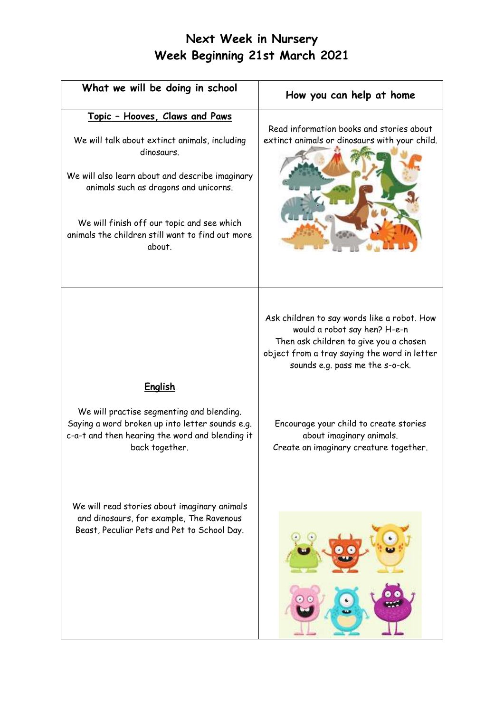| What we will be doing in school                                                                                                                                                                                                                                                                              | How you can help at home                                                                                                                                                                                 |
|--------------------------------------------------------------------------------------------------------------------------------------------------------------------------------------------------------------------------------------------------------------------------------------------------------------|----------------------------------------------------------------------------------------------------------------------------------------------------------------------------------------------------------|
| <u>Topic - Hooves, Claws and Paws</u><br>We will talk about extinct animals, including<br>dinosaurs.<br>We will also learn about and describe imaginary<br>animals such as dragons and unicorns.<br>We will finish off our topic and see which<br>animals the children still want to find out more<br>about. | Read information books and stories about<br>extinct animals or dinosaurs with your child.                                                                                                                |
|                                                                                                                                                                                                                                                                                                              | Ask children to say words like a robot. How<br>would a robot say hen? H-e-n<br>Then ask children to give you a chosen<br>object from a tray saying the word in letter<br>sounds e.g. pass me the s-o-ck. |
| <u>English</u><br>We will practise segmenting and blending.<br>Saying a word broken up into letter sounds e.g.<br>c-a-t and then hearing the word and blending it<br>back together.                                                                                                                          | Encourage your child to create stories<br>about imaginary animals.<br>Create an imaginary creature together.                                                                                             |
| We will read stories about imaginary animals<br>and dinosaurs, for example, The Ravenous<br>Beast, Peculiar Pets and Pet to School Day.                                                                                                                                                                      |                                                                                                                                                                                                          |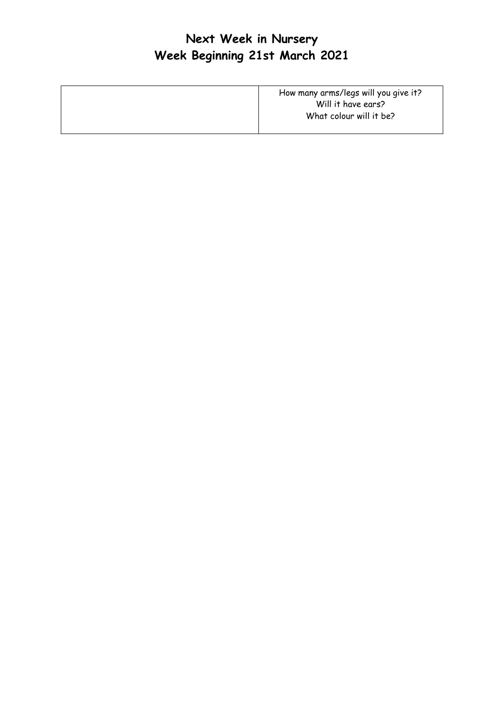| How many arms/legs will you give it? |
|--------------------------------------|
| Will it have ears?                   |
| What colour will it be?              |
|                                      |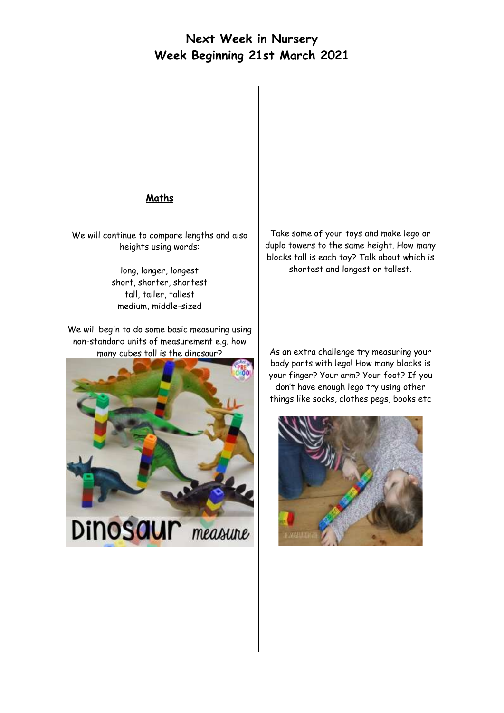